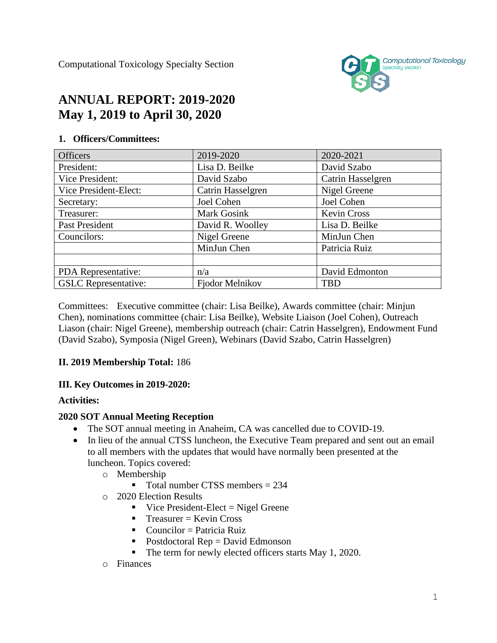Computational Toxicology Specialty Section



# **ANNUAL REPORT: 2019-2020 May 1, 2019 to April 30, 2020**

# Officers 2019-2020 2019-2020 2020-2021 President:  $\vert$  Lisa D. Beilke  $\vert$  David Szabo Vice President:  $\vert$  David Szabo  $\vert$  Catrin Hasselgren Vice President-Elect: | Catrin Hasselgren | Nigel Greene Secretary:  $\vert$  Joel Cohen  $\vert$  Joel Cohen  $\vert$  Joel Cohen Treasurer: New Mark Gosink Kevin Cross Past President David R. Woolley Lisa D. Beilke Councilors: Nigel Greene MinJun Chen MinJun Chen Patricia Ruiz PDA Representative:  $\vert n/a \vert$  David Edmonton GSLC Representative: | Fjodor Melnikov | TBD

#### **1. Officers/Committees:**

Committees: Executive committee (chair: Lisa Beilke), Awards committee (chair: Minjun Chen), nominations committee (chair: Lisa Beilke), Website Liaison (Joel Cohen), Outreach Liason (chair: Nigel Greene), membership outreach (chair: Catrin Hasselgren), Endowment Fund (David Szabo), Symposia (Nigel Green), Webinars (David Szabo, Catrin Hasselgren)

## **II. 2019 Membership Total:** 186

#### **III. Key Outcomes in 2019-2020:**

#### **Activities:**

#### **2020 SOT Annual Meeting Reception**

- The SOT annual meeting in Anaheim, CA was cancelled due to COVID-19.
- In lieu of the annual CTSS luncheon, the Executive Team prepared and sent out an email to all members with the updates that would have normally been presented at the luncheon. Topics covered:
	- o Membership
		- Total number CTSS members  $= 234$
	- o 2020 Election Results
		- $\blacksquare$  Vice President-Elect = Nigel Greene
		- $T$ reasurer = Kevin Cross
		- $\blacksquare$  Councilor = Patricia Ruiz
		- $\blacksquare$  Postdoctoral Rep = David Edmonson
		- The term for newly elected officers starts May 1, 2020.
	- o Finances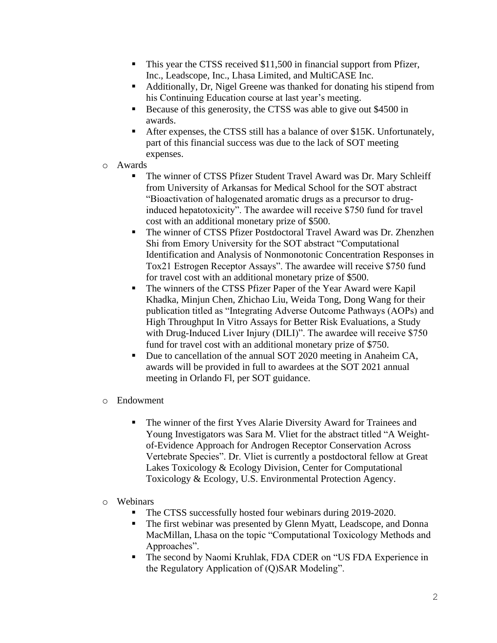- This year the CTSS received \$11,500 in financial support from Pfizer, Inc., Leadscope, Inc., Lhasa Limited, and MultiCASE Inc.
- Additionally, Dr, Nigel Greene was thanked for donating his stipend from his Continuing Education course at last year's meeting.
- Because of this generosity, the CTSS was able to give out \$4500 in awards.
- After expenses, the CTSS still has a balance of over \$15K. Unfortunately, part of this financial success was due to the lack of SOT meeting expenses.
- o Awards
	- The winner of CTSS Pfizer Student Travel Award was Dr. Mary Schleiff from University of Arkansas for Medical School for the SOT abstract "Bioactivation of halogenated aromatic drugs as a precursor to druginduced hepatotoxicity". The awardee will receive \$750 fund for travel cost with an additional monetary prize of \$500.
	- The winner of CTSS Pfizer Postdoctoral Travel Award was Dr. Zhenzhen Shi from Emory University for the SOT abstract "Computational Identification and Analysis of Nonmonotonic Concentration Responses in Tox21 Estrogen Receptor Assays". The awardee will receive \$750 fund for travel cost with an additional monetary prize of \$500.
	- The winners of the CTSS Pfizer Paper of the Year Award were Kapil Khadka, Minjun Chen, Zhichao Liu, Weida Tong, Dong Wang for their publication titled as "Integrating Adverse Outcome Pathways (AOPs) and High Throughput In Vitro Assays for Better Risk Evaluations, a Study with Drug-Induced Liver Injury (DILI)". The awardee will receive \$750 fund for travel cost with an additional monetary prize of \$750.
	- Due to cancellation of the annual SOT 2020 meeting in Anaheim CA, awards will be provided in full to awardees at the SOT 2021 annual meeting in Orlando Fl, per SOT guidance.
- o Endowment
	- The winner of the first Yves Alarie Diversity Award for Trainees and Young Investigators was Sara M. Vliet for the abstract titled "A Weightof-Evidence Approach for Androgen Receptor Conservation Across Vertebrate Species". Dr. Vliet is currently a postdoctoral fellow at Great Lakes Toxicology & Ecology Division, Center for Computational Toxicology & Ecology, U.S. Environmental Protection Agency.
- o Webinars
	- The CTSS successfully hosted four webinars during 2019-2020.
	- The first webinar was presented by Glenn Myatt, Leadscope, and Donna MacMillan, Lhasa on the topic "Computational Toxicology Methods and Approaches".
	- The second by Naomi Kruhlak, FDA CDER on "US FDA Experience in the Regulatory Application of (Q)SAR Modeling".